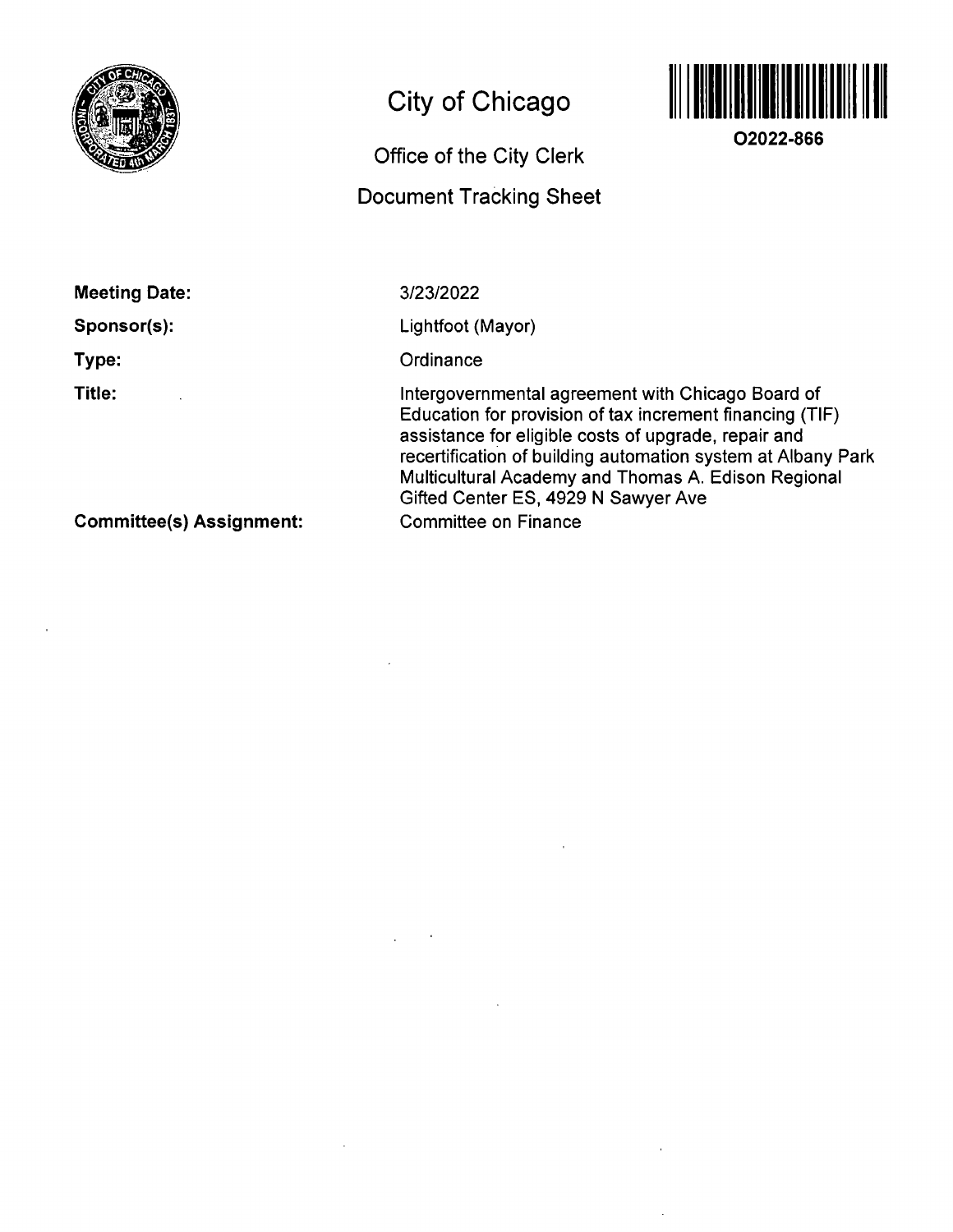

# **City of Chicago**

# **Office of the City Clerk**

## **Document Tracking Sheet**



**02022-866** 

**Meeting Date: Sponsor(s):** 

**Type:** 

**Title:** 

3/23/2022

Lightfoot (Mayor)

**Ordinance** 

Intergovernmental agreemenf wifh Chicago Board of Education for provision of tax increment financing (TIF) assistance for eligible costs of upgrade, repair and recertification of building automation system at Albany Park Multicultural Academy and Thomas A. Edison Regional Gifted Center ES, 4929 N Sawyer Ave Committee on Finance

**Committee(s) Assignment:**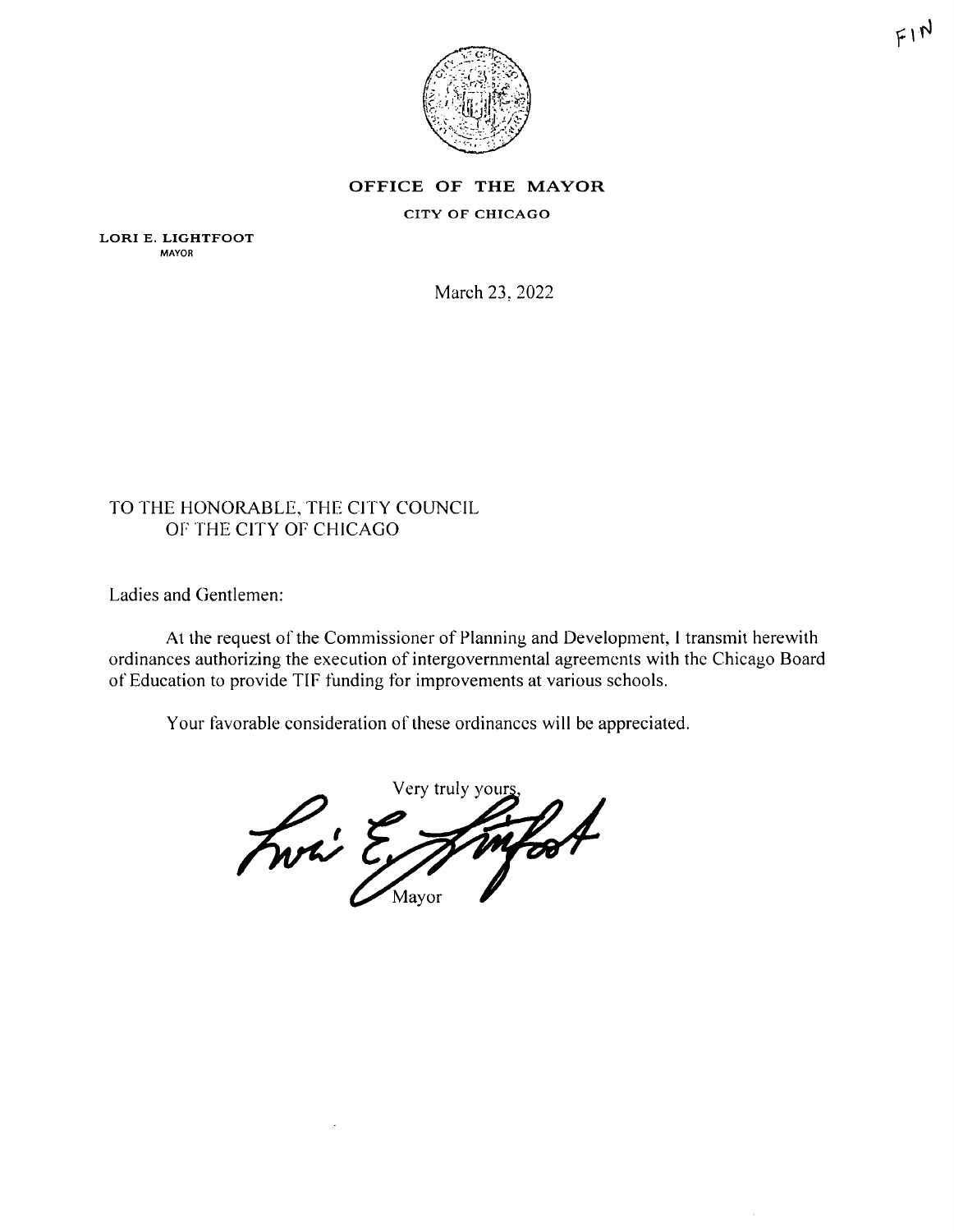

#### **OFFICE OF THE MAYOR**

#### CITY OF CHICAGO

LORI E. LIGHTFOOT MAYOR

March 23. 2022

## TO THE HONORABLE, THE CITY COUNCIL OF THE CITY OF CHICAGO

Ladies and Gentlemen:

At the request of the Commissioner of Planning and Development, I transmit herewith ordinances authorizing the execution of intergovernmental agreements with the Chicago Board of Education to provide TIF funding for improvements al various schools.

Your favorable consideration of these ordinances will be appreciated.

Very truly your infort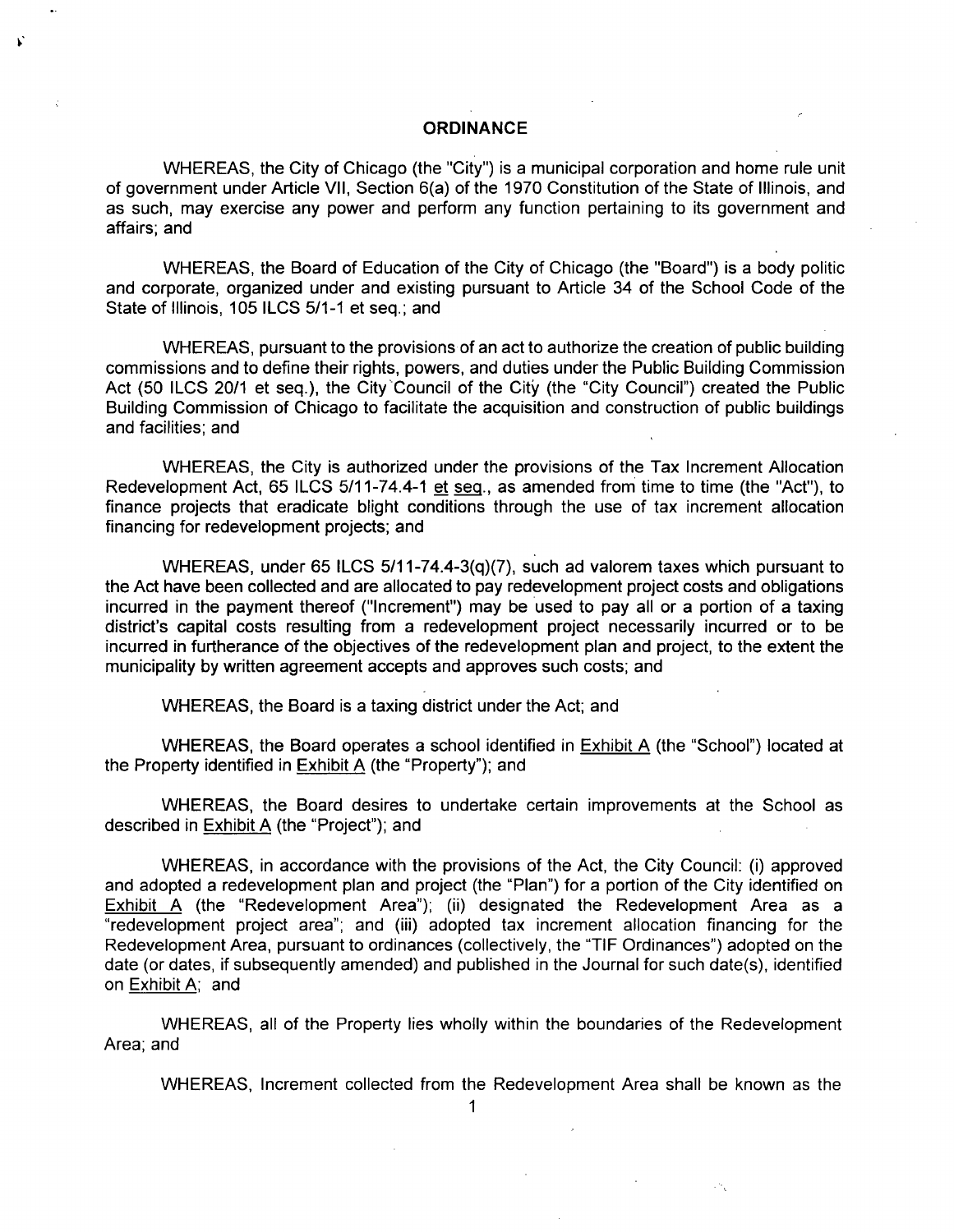#### **ORDINANCE**

WHEREAS, the City of Chicago (the "City") is a municipal corporation and home rule unit of government under Article VII, Section 6(a) of the 1970 Constitution of the State of Illinois, and as such, may exercise any power and perform any function pertaining to its government and affairs; and

WHEREAS, the Board of Education of the City of Chicago (the "Board") is a body politic and corporate, organized under and existing pursuant to Article 34 of the School Code of the State of Illinois, 105 ILCS 5/1-1 et seq.; and

WHEREAS, pursuant to the provisions of an act to authorize the creation of public building commissions and to define their rights, powers, and duties underthe Public Building Commission Act (50 ILCS 20/1 et seq.), the City Council of the City (the "City Council") created the Public Building Commission of Chicago to facilitate the acquisition and construction of public buildings and facilities; and

WHEREAS, the City is authorized under the provisions of the Tax Increment Allocation Redevelopment Act, 65 ILCS 5/11-74.4-1 et seg., as amended from time to time (the "Act"), to finance projects that eradicate blight conditions through the use of tax increment allocation financing for redevelopment projects; and

WHEREAS, under 65 ILCS 5/11-74.4-3(q)(7), such ad valorem taxes which pursuant to the Act have been collected and are allocated to pay redevelopment project costs and obligations incurred in the payment thereof ("Increment") may be used to pay all or a portion of a taxing district's capital costs resulting from a redevelopment project necessarily incurred or to be incurred in furtherance of the objectives of the redevelopment plan and project, to the extent the municipality by written agreement accepts and approves such costs; and

WHEREAS, the Board is a taxing district under the Act; and

WHEREAS, the Board operates a school identified in Exhibit A (the "School") located at the Property identified in Exhibit A (the "Property"); and

WHEREAS, the Board desires to undertake certain improvements at the School as described in Exhibit A (the "Project"); and

WHEREAS, in accordance with the provisions of the Act, the City Council: (i) approved and adopted a redevelopment plan and project (the "Plan") for a portion of the City identified on Exhibit A (the "Redevelopment Area"); (ii) designated the Redevelopment Area as a "redevelopment project area"; and (iii) adopted tax increment allocation financing for the Redevelopment Area, pursuant to ordinances (collectively, the "TIF Ordinances") adopted on the date (or dates, if subsequently amended) and published in the Journal for such date(s), identified on Exhibit A; and

WHEREAS, all of the Property lies wholly within the boundaries of the Redevelopment Area; and

WHEREAS, Increment collected from the Redevelopment Area shall be known as the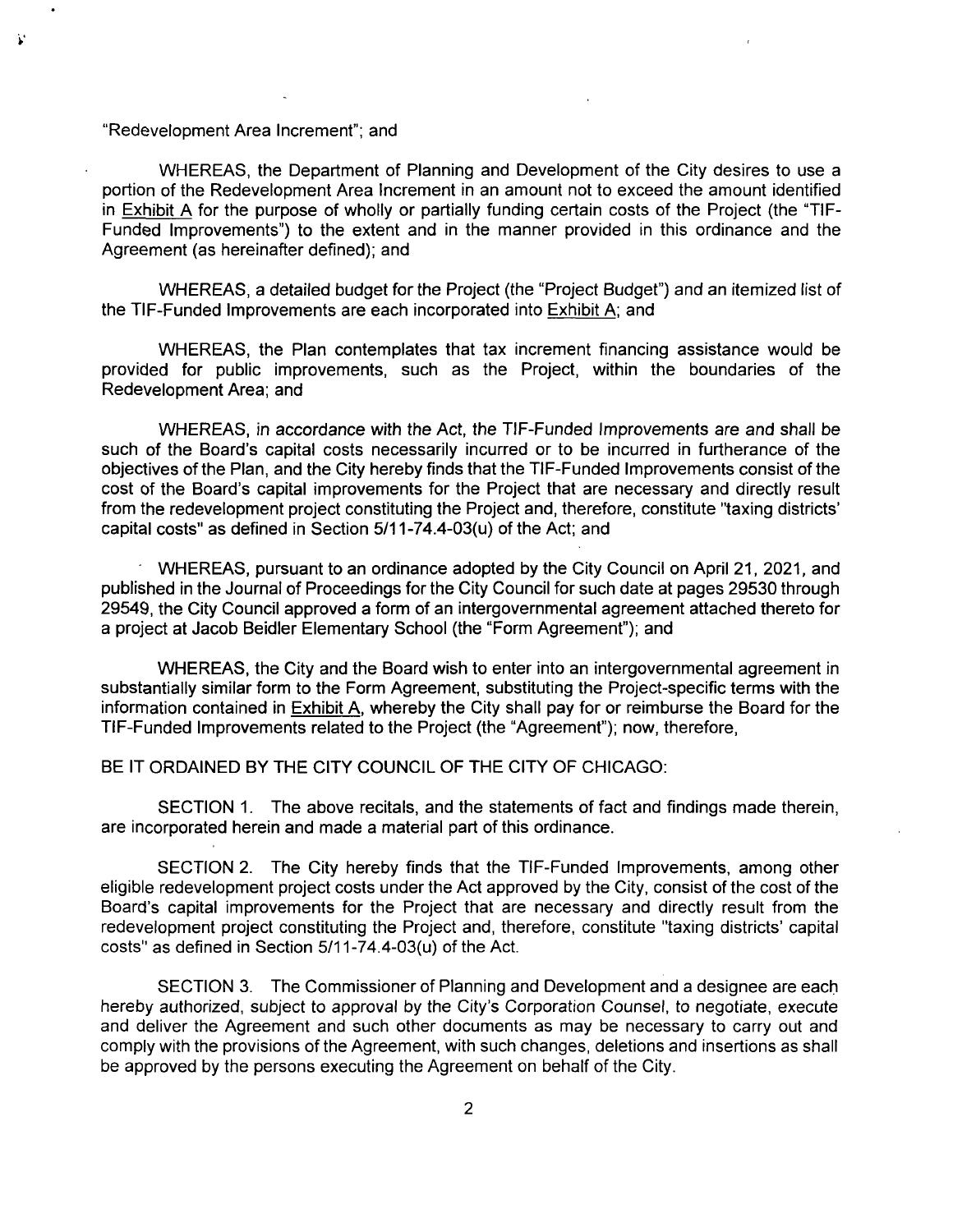#### "Redevelopment Area Increment"; and

V

WHEREAS, the Department of Planning and Development of the City desires to use a portion of the Redevelopment Area Increment in an amount not to exceed the amount identified in Exhibit A for the purpose of wholly or partially funding certain costs of the Project (the "TIF-Funded Improvements") to the extent and in the manner provided in this ordinance and the Agreement (as hereinafter defined); and

WHEREAS, a detailed budget for the Project (the "Project Budget") and an itemized list of the TIF-Funded Improvements are each incorporated into Exhibit A; and

WHEREAS, the Plan contemplates that tax increment financing assistance would be provided for public improvements, such as the Project, within the boundaries of the Redevelopment Area; and

WHEREAS, in accordance with the Act, the TIF-Funded Improvements are and shall be such of the Board's capital costs necessarily incurred or to be incurred in furtherance of the objectives of the Plan, and the City hereby finds that the TIF-Funded Improvements consist of the cost of the Board's capital improvements for the Project that are necessary and directly result from the redevelopment project constituting the Project and, therefore, constitute "taxing districts' capital costs" as defined in Section 5/11-74.4-03(u) of the Act; and

WHEREAS, pursuant to an ordinance adopted by the City Council on April 21, 2021, and published in the Journal of Proceedings for the City Council for such date at pages 29530 through 29549, the City Council approved a form of an intergovernmental agreement attached thereto for a project at Jacob Beidler Elementary School (the "Form Agreement"); and

WHEREAS, the City and the Board wish to enter into an intergovernmental agreement in substantially similar form to the Form Agreement, substituting the Project-specific terms with the information contained in Exhibit A, whereby the City shall pay for or reimburse the Board for the TIF-Funded Improvements related to the Project (the "Agreement"); now, therefore,

BE IT ORDAINED BY THE CITY COUNCIL OF THE CITY OF CHICAGO:

SECTION 1. The above recitals, and the statements of fact and findings made therein, are incorporated herein and made a material part of this ordinance.

SECTION 2. The City hereby finds that the TIF-Funded Improvements, among other eligible redevelopment project costs under the Act approved by the City, consist of the cost of the Board's capital improvements for the Project that are necessary and directly result from the redevelopment project constituting the Project and, therefore, constitute "taxing districts' capital costs" as defined in Section 5/11-74,4-03(u) of the Act,

SECTION 3, The Commissioner of Planning and Development and a designee are each hereby authorized, subject to approval by the City's Corporation Counsel, to negotiate, execute and deliver the Agreement and such other documents as may be necessary to carry out and comply with the provisions of the Agreement, with such changes, deletions and insertions as shall be approved by the persons executing the Agreement on behalf of the City,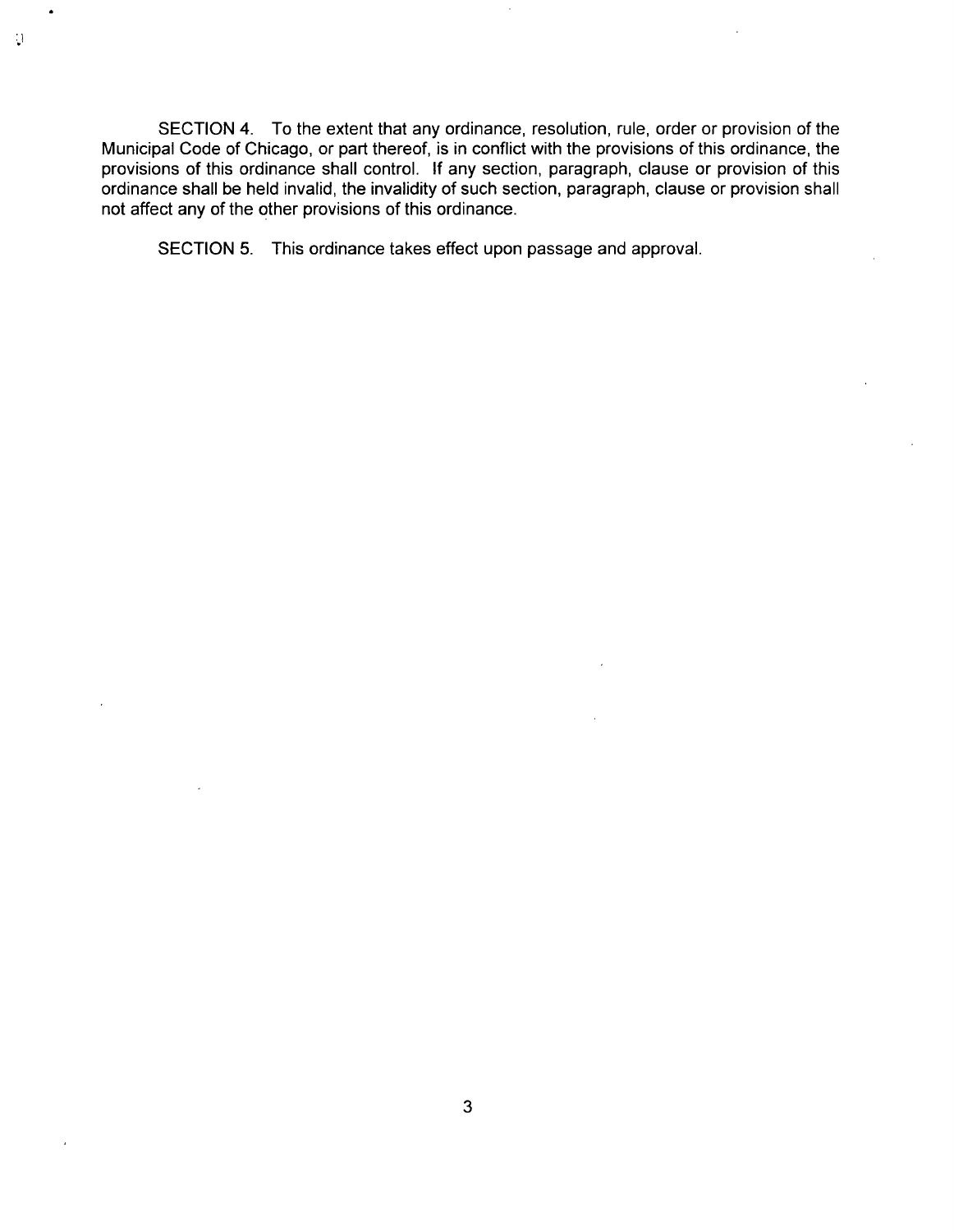SECTION 4. To the extent that any ordinance, resolution, rule, order or provision of the Municipal Code of Chicago, or part thereof, is in conflict with the provisions of this ordinance, the provisions of this ordinance shall control. If any section, paragraph, clause or provision of this ordinance shall be held invalid, the invalidity of such section, paragraph, clause or provision shall not affect any of the other provisions of this ordinance.

SECTION 5. This ordinance takes effect upon passage and approval.

 $\cdot$ 

 $\overline{3}$